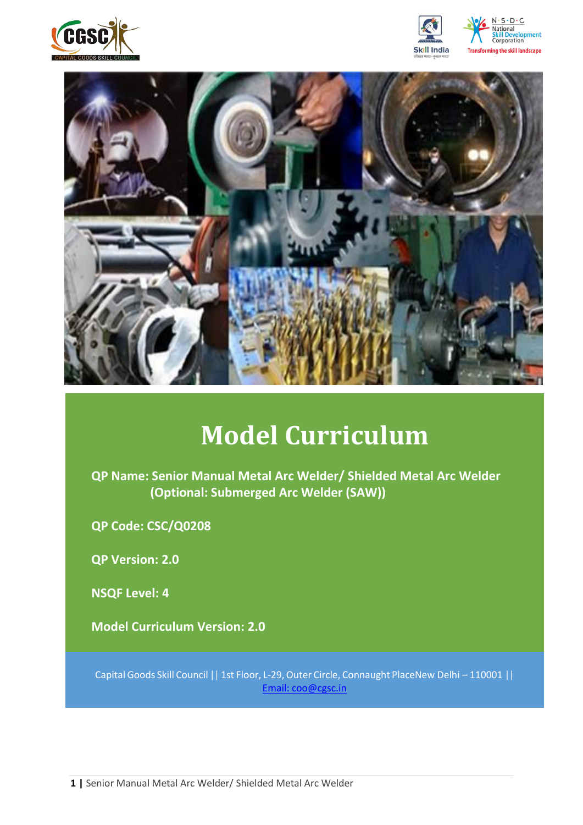







# **Model Curriculum**

**QP Name: Senior Manual Metal Arc Welder/ Shielded Metal Arc Welder (Optional: Submerged Arc Welder (SAW))**

**QP Code: CSC/Q0208**

**QP Version: 2.0**

**NSQF Level: 4**

**Model Curriculum Version: 2.0** 

Capital Goods Skill Council | | 1st Floor, L-29, Outer Circle, Connaught PlaceNew Delhi - 110001 | | Email: [coo@cgsc.in](mailto:Email:%20coo@cgsc.in)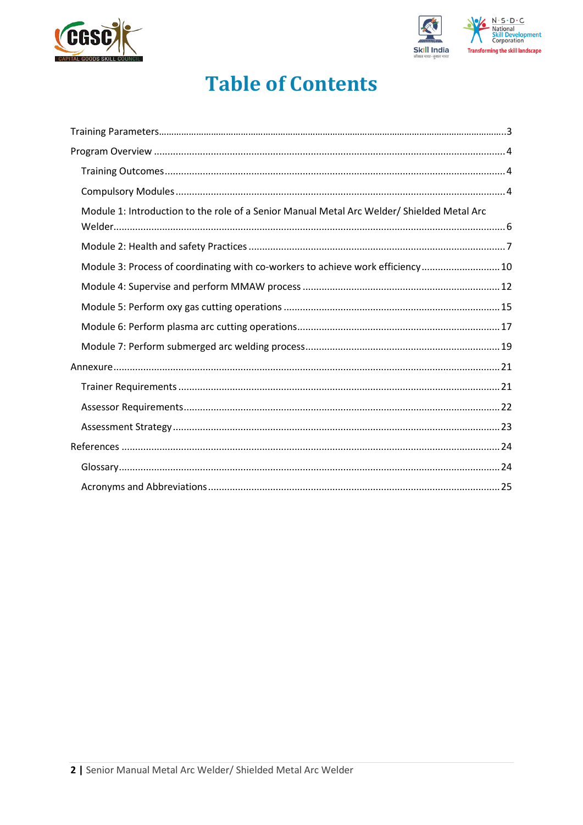



## **Table of Contents**

| Module 1: Introduction to the role of a Senior Manual Metal Arc Welder/ Shielded Metal Arc |
|--------------------------------------------------------------------------------------------|
|                                                                                            |
| Module 3: Process of coordinating with co-workers to achieve work efficiency 10            |
|                                                                                            |
|                                                                                            |
|                                                                                            |
|                                                                                            |
|                                                                                            |
|                                                                                            |
|                                                                                            |
|                                                                                            |
|                                                                                            |
|                                                                                            |
|                                                                                            |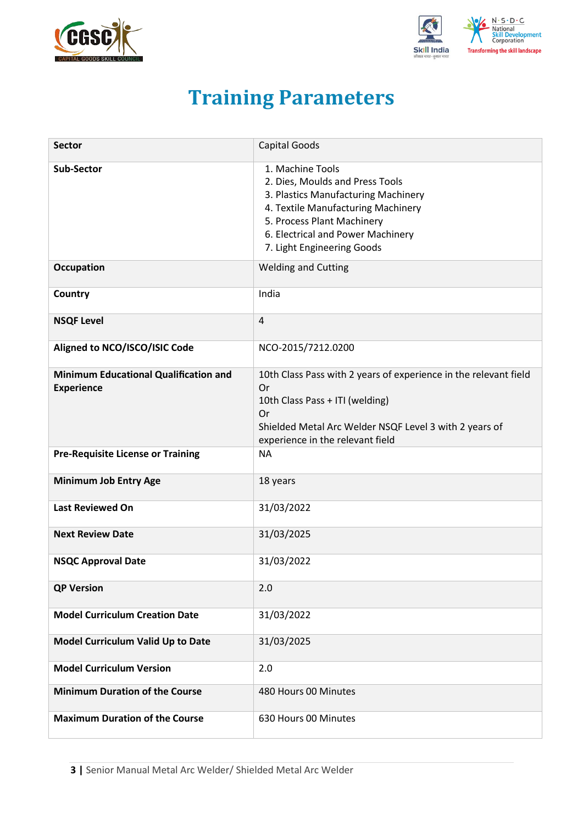<span id="page-2-0"></span>



# **Training Parameters**

| <b>Sector</b>                                                     | <b>Capital Goods</b>                                                                                                                                                                                                              |
|-------------------------------------------------------------------|-----------------------------------------------------------------------------------------------------------------------------------------------------------------------------------------------------------------------------------|
| <b>Sub-Sector</b>                                                 | 1. Machine Tools<br>2. Dies, Moulds and Press Tools<br>3. Plastics Manufacturing Machinery<br>4. Textile Manufacturing Machinery<br>5. Process Plant Machinery<br>6. Electrical and Power Machinery<br>7. Light Engineering Goods |
| <b>Occupation</b>                                                 | <b>Welding and Cutting</b>                                                                                                                                                                                                        |
| Country                                                           | India                                                                                                                                                                                                                             |
| <b>NSQF Level</b>                                                 | $\overline{4}$                                                                                                                                                                                                                    |
| Aligned to NCO/ISCO/ISIC Code                                     | NCO-2015/7212.0200                                                                                                                                                                                                                |
| <b>Minimum Educational Qualification and</b><br><b>Experience</b> | 10th Class Pass with 2 years of experience in the relevant field<br><b>Or</b><br>10th Class Pass + ITI (welding)<br>Or<br>Shielded Metal Arc Welder NSQF Level 3 with 2 years of<br>experience in the relevant field              |
| <b>Pre-Requisite License or Training</b>                          | <b>NA</b>                                                                                                                                                                                                                         |
| <b>Minimum Job Entry Age</b>                                      | 18 years                                                                                                                                                                                                                          |
| <b>Last Reviewed On</b>                                           | 31/03/2022                                                                                                                                                                                                                        |
| <b>Next Review Date</b>                                           | 31/03/2025                                                                                                                                                                                                                        |
| <b>NSQC Approval Date</b>                                         | 31/03/2022                                                                                                                                                                                                                        |
| <b>QP Version</b>                                                 | 2.0                                                                                                                                                                                                                               |
| <b>Model Curriculum Creation Date</b>                             | 31/03/2022                                                                                                                                                                                                                        |
| Model Curriculum Valid Up to Date                                 | 31/03/2025                                                                                                                                                                                                                        |
| <b>Model Curriculum Version</b>                                   | 2.0                                                                                                                                                                                                                               |
| <b>Minimum Duration of the Course</b>                             | 480 Hours 00 Minutes                                                                                                                                                                                                              |
| <b>Maximum Duration of the Course</b>                             | 630 Hours 00 Minutes                                                                                                                                                                                                              |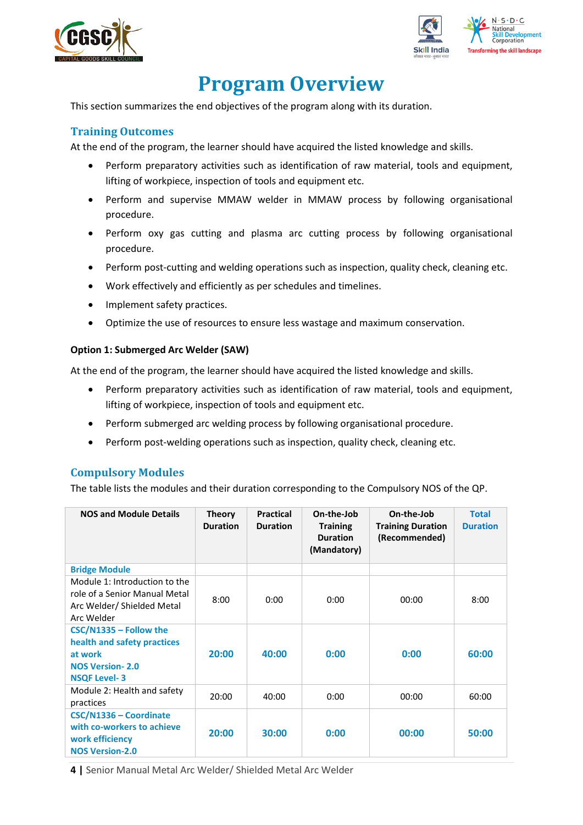



## **Program Overview**

<span id="page-3-0"></span>This section summarizes the end objectives of the program along with its duration.

### <span id="page-3-1"></span>**Training Outcomes**

<span id="page-3-2"></span>At the end of the program, the learner should have acquired the listed knowledge and skills.

- Perform preparatory activities such as identification of raw material, tools and equipment, lifting of workpiece, inspection of tools and equipment etc.
- Perform and supervise MMAW welder in MMAW process by following organisational procedure.
- Perform oxy gas cutting and plasma arc cutting process by following organisational procedure.
- Perform post-cutting and welding operations such as inspection, quality check, cleaning etc.
- Work effectively and efficiently as per schedules and timelines.
- Implement safety practices.
- Optimize the use of resources to ensure less wastage and maximum conservation.

#### **Option 1: Submerged Arc Welder (SAW)**

At the end of the program, the learner should have acquired the listed knowledge and skills.

- Perform preparatory activities such as identification of raw material, tools and equipment, lifting of workpiece, inspection of tools and equipment etc.
- Perform submerged arc welding process by following organisational procedure.
- Perform post-welding operations such as inspection, quality check, cleaning etc.

#### **Compulsory Modules**

The table lists the modules and their duration corresponding to the Compulsory NOS of the QP.

| <b>NOS and Module Details</b>                                                                                       | <b>Theory</b><br><b>Duration</b> | <b>Practical</b><br><b>Duration</b> | On-the-Job<br><b>Training</b><br><b>Duration</b><br>(Mandatory) | On-the-Job<br><b>Training Duration</b><br>(Recommended) | <b>Total</b><br><b>Duration</b> |
|---------------------------------------------------------------------------------------------------------------------|----------------------------------|-------------------------------------|-----------------------------------------------------------------|---------------------------------------------------------|---------------------------------|
| <b>Bridge Module</b>                                                                                                |                                  |                                     |                                                                 |                                                         |                                 |
| Module 1: Introduction to the<br>role of a Senior Manual Metal<br>Arc Welder/ Shielded Metal<br>Arc Welder          | 8:00                             | 0:00                                | 0:00                                                            | 00:00                                                   | 8:00                            |
| $CSC/N1335 - Follow the$<br>health and safety practices<br>at work<br><b>NOS Version-2.0</b><br><b>NSQF Level-3</b> | 20:00                            | 40:00                               | 0:00                                                            | 0:00                                                    | 60:00                           |
| Module 2: Health and safety<br>practices                                                                            | 20:00                            | 40:00                               | 0:00                                                            | 00:00                                                   | 60:00                           |
| CSC/N1336 - Coordinate<br>with co-workers to achieve<br>work efficiency<br><b>NOS Version-2.0</b>                   | 20:00                            | 30:00                               | 0:00                                                            | 00:00                                                   | 50:00                           |

**4 |** Senior Manual Metal Arc Welder/ Shielded Metal Arc Welder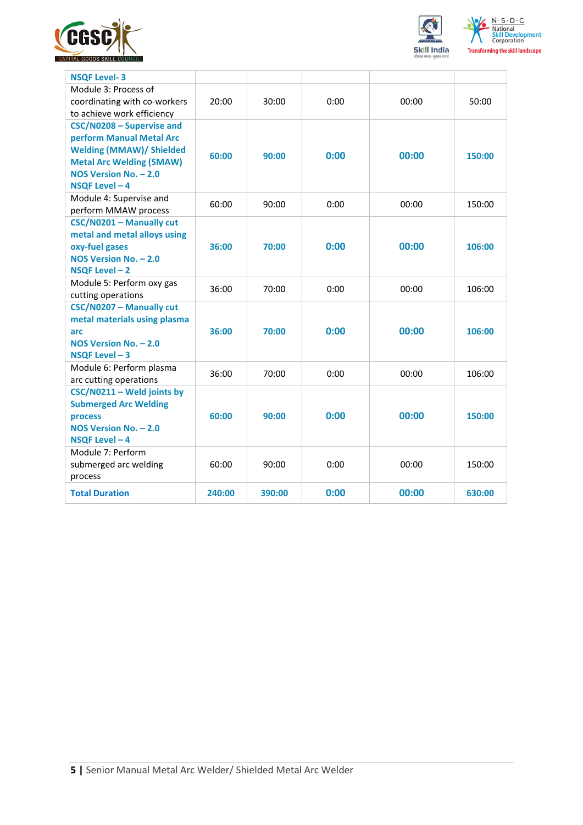





| <b>NSQF Level-3</b>                                                                                                                                                    |        |        |      |       |        |
|------------------------------------------------------------------------------------------------------------------------------------------------------------------------|--------|--------|------|-------|--------|
| Module 3: Process of<br>coordinating with co-workers<br>to achieve work efficiency                                                                                     | 20:00  | 30:00  | 0:00 | 00:00 | 50:00  |
| CSC/N0208 - Supervise and<br>perform Manual Metal Arc<br><b>Welding (MMAW)/ Shielded</b><br><b>Metal Arc Welding (SMAW)</b><br>NOS Version No. - 2.0<br>NSQF Level - 4 | 60:00  | 90:00  | 0:00 | 00:00 | 150:00 |
| Module 4: Supervise and<br>perform MMAW process                                                                                                                        | 60:00  | 90:00  | 0:00 | 00:00 | 150:00 |
| CSC/N0201 - Manually cut<br>metal and metal alloys using<br>oxy-fuel gases<br>NOS Version No. - 2.0<br>NSQF Level-2                                                    | 36:00  | 70:00  | 0:00 | 00:00 | 106:00 |
| Module 5: Perform oxy gas<br>cutting operations                                                                                                                        | 36:00  | 70:00  | 0:00 | 00:00 | 106:00 |
| CSC/N0207 - Manually cut<br>metal materials using plasma<br>arc<br>NOS Version No. - 2.0<br>NSQF Level - 3                                                             | 36:00  | 70:00  | 0:00 | 00:00 | 106:00 |
| Module 6: Perform plasma<br>arc cutting operations                                                                                                                     | 36:00  | 70:00  | 0:00 | 00:00 | 106:00 |
| CSC/N0211 - Weld joints by<br><b>Submerged Arc Welding</b><br>process<br>NOS Version No. - 2.0<br>NSQF Level - 4                                                       | 60:00  | 90:00  | 0:00 | 00:00 | 150:00 |
| Module 7: Perform<br>submerged arc welding<br>process                                                                                                                  | 60:00  | 90:00  | 0:00 | 00:00 | 150:00 |
| <b>Total Duration</b>                                                                                                                                                  | 240:00 | 390:00 | 0:00 | 00:00 | 630:00 |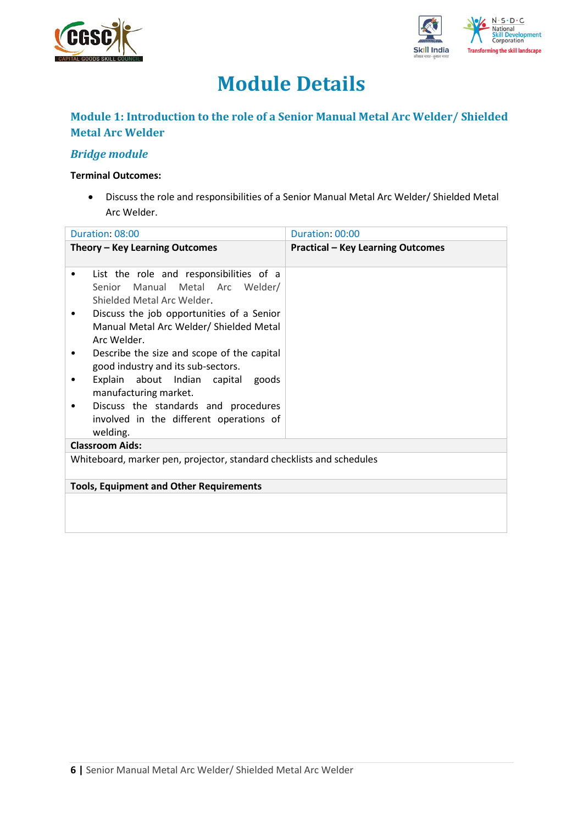



# **Module Details**

## **Module 1: Introduction to the role of a Senior Manual Metal Arc Welder/ Shielded Metal Arc Welder**

## *Bridge module*

#### **Terminal Outcomes:**

• Discuss the role and responsibilities of a Senior Manual Metal Arc Welder/ Shielded Metal Arc Welder.

| Duration: 08:00                                                                                                                                                                                                                                                                                                                                                                                                      | Duration: 00:00                          |  |  |
|----------------------------------------------------------------------------------------------------------------------------------------------------------------------------------------------------------------------------------------------------------------------------------------------------------------------------------------------------------------------------------------------------------------------|------------------------------------------|--|--|
| Theory - Key Learning Outcomes                                                                                                                                                                                                                                                                                                                                                                                       | <b>Practical - Key Learning Outcomes</b> |  |  |
| List the role and responsibilities of a<br>٠<br>Senior Manual Metal Arc Welder/<br>Shielded Metal Arc Welder.<br>Discuss the job opportunities of a Senior<br>Manual Metal Arc Welder/ Shielded Metal<br>Arc Welder.<br>Describe the size and scope of the capital<br>٠<br>good industry and its sub-sectors.<br>Explain about Indian capital goods<br>manufacturing market.<br>Discuss the standards and procedures |                                          |  |  |
| involved in the different operations of<br>welding.                                                                                                                                                                                                                                                                                                                                                                  |                                          |  |  |
| <b>Classroom Aids:</b>                                                                                                                                                                                                                                                                                                                                                                                               |                                          |  |  |
| Whiteboard, marker pen, projector, standard checklists and schedules                                                                                                                                                                                                                                                                                                                                                 |                                          |  |  |
| <b>Tools, Equipment and Other Requirements</b>                                                                                                                                                                                                                                                                                                                                                                       |                                          |  |  |
|                                                                                                                                                                                                                                                                                                                                                                                                                      |                                          |  |  |
|                                                                                                                                                                                                                                                                                                                                                                                                                      |                                          |  |  |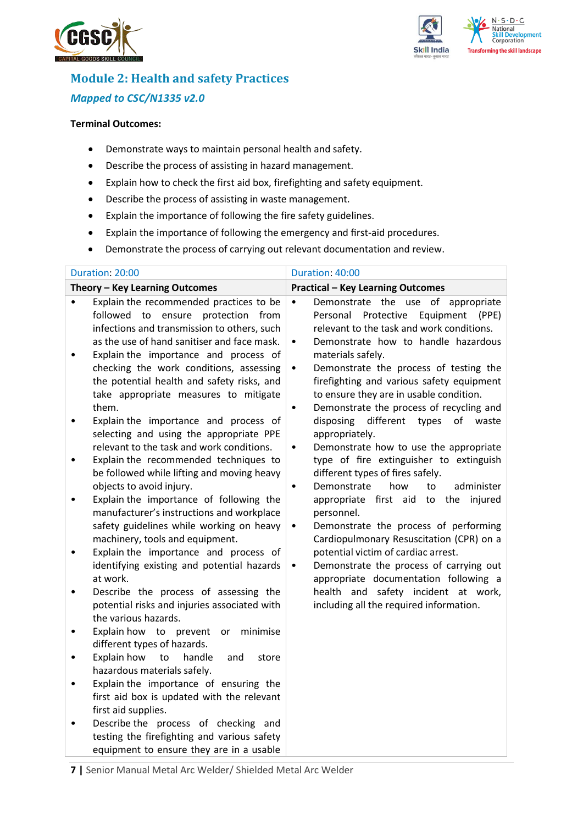



## **Module 2: Health and safety Practices** *Mapped to CSC/N1335 v2.0*

#### **Terminal Outcomes:**

- Demonstrate ways to maintain personal health and safety.
- Describe the process of assisting in hazard management.
- Explain how to check the first aid box, firefighting and safety equipment.
- Describe the process of assisting in waste management.
- Explain the importance of following the fire safety guidelines.
- Explain the importance of following the emergency and first-aid procedures.
- Demonstrate the process of carrying out relevant documentation and review.

| <b>Practical - Key Learning Outcomes</b>                                                                                                                                                                                                                                                                                                                                                                                                                                                                                                                                                                                                                                                                                                                                                                                                                                                                                                                                    |
|-----------------------------------------------------------------------------------------------------------------------------------------------------------------------------------------------------------------------------------------------------------------------------------------------------------------------------------------------------------------------------------------------------------------------------------------------------------------------------------------------------------------------------------------------------------------------------------------------------------------------------------------------------------------------------------------------------------------------------------------------------------------------------------------------------------------------------------------------------------------------------------------------------------------------------------------------------------------------------|
|                                                                                                                                                                                                                                                                                                                                                                                                                                                                                                                                                                                                                                                                                                                                                                                                                                                                                                                                                                             |
| Demonstrate the use of appropriate<br>Personal<br>Protective<br>Equipment<br>(PPE)<br>relevant to the task and work conditions.<br>Demonstrate how to handle hazardous<br>materials safely.<br>Demonstrate the process of testing the<br>firefighting and various safety equipment<br>to ensure they are in usable condition.<br>Demonstrate the process of recycling and<br>different<br>disposing<br>types<br>of<br>waste<br>appropriately.<br>Demonstrate how to use the appropriate<br>type of fire extinguisher to extinguish<br>different types of fires safely.<br>how<br>administer<br>Demonstrate<br>to<br>appropriate first aid to the<br>injured<br>personnel.<br>Demonstrate the process of performing<br>Cardiopulmonary Resuscitation (CPR) on a<br>potential victim of cardiac arrest.<br>Demonstrate the process of carrying out<br>appropriate documentation following a<br>health and safety incident at work,<br>including all the required information. |
|                                                                                                                                                                                                                                                                                                                                                                                                                                                                                                                                                                                                                                                                                                                                                                                                                                                                                                                                                                             |

**7 |** Senior Manual Metal Arc Welder/ Shielded Metal Arc Welder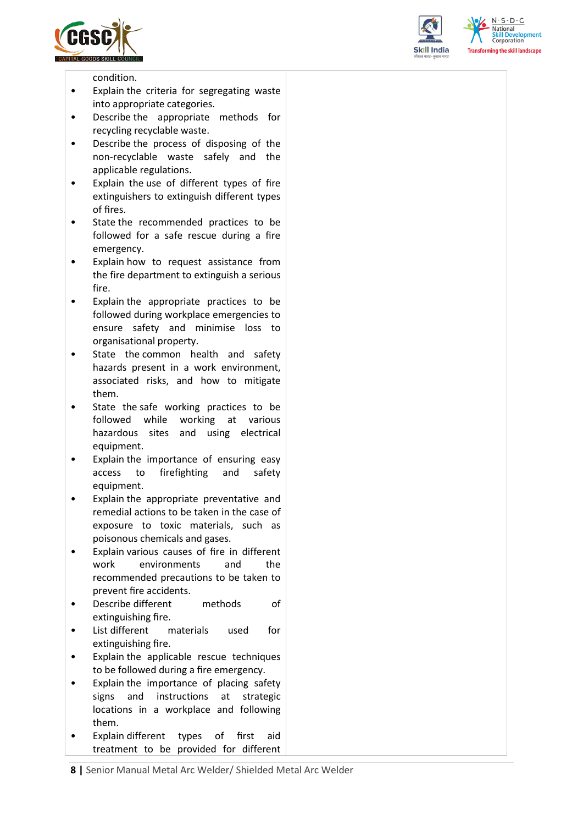





condition.

- Explain the criteria for segregating waste into appropriate categories.
- Describe the appropriate methods for recycling recyclable waste.
- Describe the process of disposing of the non-recyclable waste safely and the applicable regulations.
- Explain the use of different types of fire extinguishers to extinguish different types of fires.
- State the recommended practices to be followed for a safe rescue during a fire emergency.
- Explain how to request assistance from the fire department to extinguish a serious fire.
- Explain the appropriate practices to be followed during workplace emergencies to ensure safety and minimise loss to organisational property.
- State the common health and safety hazards present in a work environment, associated risks, and how to mitigate them.
- State the safe working practices to be followed while working at various hazardous sites and using electrical equipment.
- Explain the importance of ensuring easy access to firefighting and safety equipment.
- Explain the appropriate preventative and remedial actions to be taken in the case of exposure to toxic materials, such as poisonous chemicals and gases.
- Explain various causes of fire in different work environments and the recommended precautions to be taken to prevent fire accidents.
- Describe different methods of extinguishing fire.
- List different materials used for extinguishing fire.
- Explain the applicable rescue techniques to be followed during a fire emergency.
- Explain the importance of placing safety signs and instructions at strategic locations in a workplace and following them.
- Explain different types of first aid treatment to be provided for different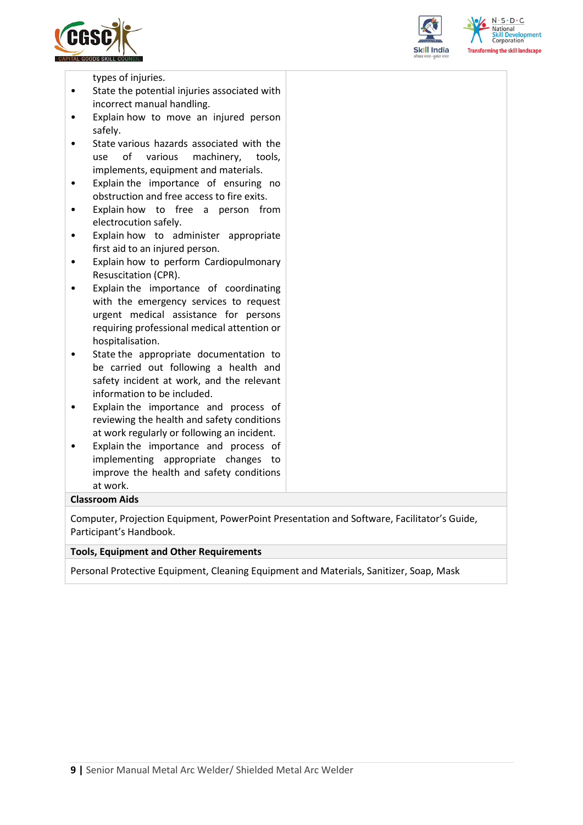





types of injuries.

- State the potential injuries associated with incorrect manual handling.
- Explain how to move an injured person safely.
- State various hazards associated with the use of various machinery, tools, implements, equipment and materials.
- Explain the importance of ensuring no obstruction and free access to fire exits.
- Explain how to free a person from electrocution safely.
- Explain how to administer appropriate first aid to an injured person.
- Explain how to perform Cardiopulmonary Resuscitation (CPR).
- Explain the importance of coordinating with the emergency services to request urgent medical assistance for persons requiring professional medical attention or hospitalisation.
- State the appropriate documentation to be carried out following a health and safety incident at work, and the relevant information to be included.
- Explain the importance and process of reviewing the health and safety conditions at work regularly or following an incident.
- Explain the importance and process of implementing appropriate changes to improve the health and safety conditions at work.

#### **Classroom Aids**

Computer, Projection Equipment, PowerPoint Presentation and Software, Facilitator's Guide, Participant's Handbook.

#### **Tools, Equipment and Other Requirements**

Personal Protective Equipment, Cleaning Equipment and Materials, Sanitizer, Soap, Mask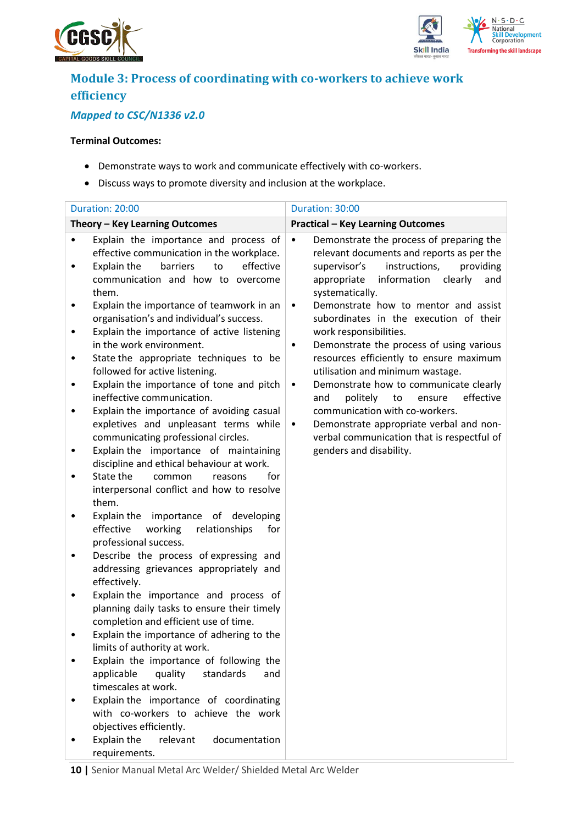



## **Module 3: Process of coordinating with co-workers to achieve work efficiency**

## *Mapped to CSC/N1336 v2.0*

- Demonstrate ways to work and communicate effectively with co-workers.
- Discuss ways to promote diversity and inclusion at the workplace.

|   | Duration: 20:00                                                                                                                                                                | Duration: 30:00                                                                                                                                                                                                     |
|---|--------------------------------------------------------------------------------------------------------------------------------------------------------------------------------|---------------------------------------------------------------------------------------------------------------------------------------------------------------------------------------------------------------------|
|   | Theory - Key Learning Outcomes                                                                                                                                                 | <b>Practical - Key Learning Outcomes</b>                                                                                                                                                                            |
|   | Explain the importance and process of<br>effective communication in the workplace.<br>to<br>effective<br>Explain the<br>barriers<br>communication and how to overcome<br>them. | Demonstrate the process of preparing the<br>$\bullet$<br>relevant documents and reports as per the<br>instructions,<br>providing<br>supervisor's<br>information<br>appropriate<br>clearly<br>and<br>systematically. |
| ٠ | Explain the importance of teamwork in an<br>organisation's and individual's success.<br>Explain the importance of active listening<br>in the work environment.                 | Demonstrate how to mentor and assist<br>$\bullet$<br>subordinates in the execution of their<br>work responsibilities.<br>Demonstrate the process of using various<br>٠                                              |
| ٠ | State the appropriate techniques to be<br>followed for active listening.                                                                                                       | resources efficiently to ensure maximum<br>utilisation and minimum wastage.                                                                                                                                         |
| ٠ | Explain the importance of tone and pitch<br>ineffective communication.<br>Explain the importance of avoiding casual<br>expletives and unpleasant terms while                   | Demonstrate how to communicate clearly<br>$\bullet$<br>politely<br>to<br>ensure<br>effective<br>and<br>communication with co-workers.<br>Demonstrate appropriate verbal and non-<br>$\bullet$                       |
|   | communicating professional circles.<br>Explain the importance of maintaining<br>discipline and ethical behaviour at work.<br>State the<br>for<br>common<br>reasons             | verbal communication that is respectful of<br>genders and disability.                                                                                                                                               |
|   | interpersonal conflict and how to resolve<br>them.                                                                                                                             |                                                                                                                                                                                                                     |
|   | Explain the importance of developing<br>effective<br>working<br>relationships<br>for<br>professional success.                                                                  |                                                                                                                                                                                                                     |
| ٠ | Describe the process of expressing and<br>addressing grievances appropriately and<br>effectively.                                                                              |                                                                                                                                                                                                                     |
|   | Explain the importance and process of<br>planning daily tasks to ensure their timely<br>completion and efficient use of time.                                                  |                                                                                                                                                                                                                     |
|   | Explain the importance of adhering to the<br>limits of authority at work.                                                                                                      |                                                                                                                                                                                                                     |
|   | Explain the importance of following the<br>applicable<br>quality<br>standards<br>and<br>timescales at work.                                                                    |                                                                                                                                                                                                                     |
|   | Explain the importance of coordinating<br>with co-workers to achieve the work<br>objectives efficiently.                                                                       |                                                                                                                                                                                                                     |
|   | Explain the<br>relevant<br>documentation<br>requirements.                                                                                                                      |                                                                                                                                                                                                                     |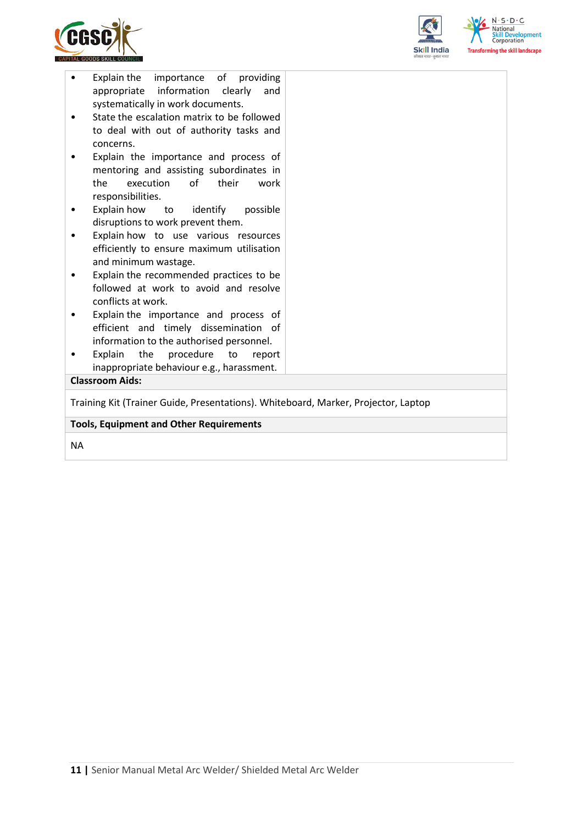



| appropriate information clearly<br>systematically in work documents.                  |  |  |
|---------------------------------------------------------------------------------------|--|--|
| State the escalation matrix to be followed<br>to deal with out of authority tasks and |  |  |
| concerns.                                                                             |  |  |
| Explain the importance and process of                                                 |  |  |
| mentoring and assisting subordinates in<br>execution<br>of their<br>the<br>work       |  |  |
| responsibilities.                                                                     |  |  |
| Explain how<br>to identify<br>possible<br>٠                                           |  |  |
| disruptions to work prevent them.                                                     |  |  |
| Explain how to use various resources                                                  |  |  |
| efficiently to ensure maximum utilisation<br>and minimum wastage.                     |  |  |
| Explain the recommended practices to be<br>٠                                          |  |  |
| followed at work to avoid and resolve                                                 |  |  |
| conflicts at work.                                                                    |  |  |
| Explain the importance and process of                                                 |  |  |
| efficient and timely dissemination of                                                 |  |  |
| information to the authorised personnel.                                              |  |  |
| Explain<br>the procedure to<br>report                                                 |  |  |
| inappropriate behaviour e.g., harassment.                                             |  |  |
| <b>Classroom Aids:</b>                                                                |  |  |
| Training Kit (Trainer Guide, Presentations). Whiteboard, Marker, Projector, Laptop    |  |  |
| <b>Tools, Equipment and Other Requirements</b>                                        |  |  |

NA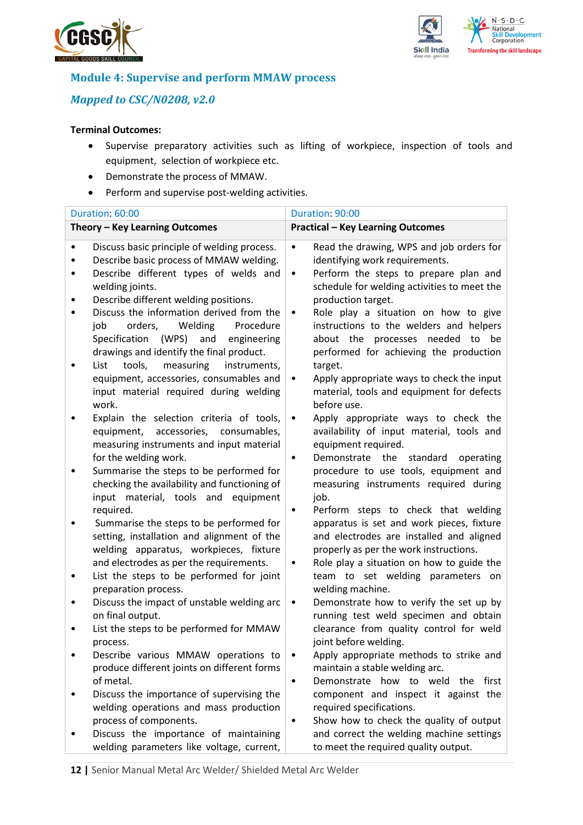



## **Module 4: Supervise and perform MMAW process**

## *Mapped to CSC/N0208, v2.0*

- Supervise preparatory activities such as lifting of workpiece, inspection of tools and equipment, selection of workpiece etc.
- Demonstrate the process of MMAW.
- Perform and supervise post-welding activities.

| Duration: 60:00                                                                                                                                                                                                                                                                                                                                                                                                                                                                                                                                                                                                                                                                                                                                                                                                                                                                                                                                                                                                                                                                                                                                                                                                                                                                                                                    | Duration: 90:00                                                                                                                                                                                                                                                                                                                                                                                                                                                                                                                                                                                                                                                                                                                                                                                                                                                                                                                                                                                                                                                                                                                                                                                                                                               |
|------------------------------------------------------------------------------------------------------------------------------------------------------------------------------------------------------------------------------------------------------------------------------------------------------------------------------------------------------------------------------------------------------------------------------------------------------------------------------------------------------------------------------------------------------------------------------------------------------------------------------------------------------------------------------------------------------------------------------------------------------------------------------------------------------------------------------------------------------------------------------------------------------------------------------------------------------------------------------------------------------------------------------------------------------------------------------------------------------------------------------------------------------------------------------------------------------------------------------------------------------------------------------------------------------------------------------------|---------------------------------------------------------------------------------------------------------------------------------------------------------------------------------------------------------------------------------------------------------------------------------------------------------------------------------------------------------------------------------------------------------------------------------------------------------------------------------------------------------------------------------------------------------------------------------------------------------------------------------------------------------------------------------------------------------------------------------------------------------------------------------------------------------------------------------------------------------------------------------------------------------------------------------------------------------------------------------------------------------------------------------------------------------------------------------------------------------------------------------------------------------------------------------------------------------------------------------------------------------------|
| Theory - Key Learning Outcomes                                                                                                                                                                                                                                                                                                                                                                                                                                                                                                                                                                                                                                                                                                                                                                                                                                                                                                                                                                                                                                                                                                                                                                                                                                                                                                     | <b>Practical - Key Learning Outcomes</b>                                                                                                                                                                                                                                                                                                                                                                                                                                                                                                                                                                                                                                                                                                                                                                                                                                                                                                                                                                                                                                                                                                                                                                                                                      |
| Discuss basic principle of welding process.<br>$\bullet$<br>Describe basic process of MMAW welding.<br>٠<br>Describe different types of welds and<br>$\bullet$<br>welding joints.<br>Describe different welding positions.<br>٠<br>Discuss the information derived from the<br>$\bullet$<br>job<br>orders,<br>Welding<br>Procedure<br>(WPS) and<br>Specification<br>engineering<br>drawings and identify the final product.<br>tools,<br>measuring<br>List<br>instruments,<br>$\bullet$<br>equipment, accessories, consumables and<br>input material required during welding<br>work.<br>Explain the selection criteria of tools,<br>$\bullet$<br>equipment, accessories, consumables,<br>measuring instruments and input material<br>for the welding work.<br>Summarise the steps to be performed for<br>$\bullet$<br>checking the availability and functioning of<br>input material, tools and equipment<br>required.<br>Summarise the steps to be performed for<br>$\bullet$<br>setting, installation and alignment of the<br>welding apparatus, workpieces, fixture<br>and electrodes as per the requirements.<br>List the steps to be performed for joint<br>٠<br>preparation process.<br>Discuss the impact of unstable welding arc<br>$\bullet$<br>on final output.<br>List the steps to be performed for MMAW<br>$\bullet$ | Read the drawing, WPS and job orders for<br>$\bullet$<br>identifying work requirements.<br>Perform the steps to prepare plan and<br>$\bullet$<br>schedule for welding activities to meet the<br>production target.<br>Role play a situation on how to give<br>$\bullet$<br>instructions to the welders and helpers<br>about the processes needed<br>to be<br>performed for achieving the production<br>target.<br>Apply appropriate ways to check the input<br>$\bullet$<br>material, tools and equipment for defects<br>before use.<br>Apply appropriate ways to check the<br>$\bullet$<br>availability of input material, tools and<br>equipment required.<br>Demonstrate the<br>standard<br>operating<br>$\bullet$<br>procedure to use tools, equipment and<br>measuring instruments required during<br>job.<br>Perform steps to check that welding<br>٠<br>apparatus is set and work pieces, fixture<br>and electrodes are installed and aligned<br>properly as per the work instructions.<br>Role play a situation on how to guide the<br>$\bullet$<br>team to set welding parameters on<br>welding machine.<br>Demonstrate how to verify the set up by<br>$\bullet$<br>running test weld specimen and obtain<br>clearance from quality control for weld |
| process.<br>Describe various MMAW operations to<br>produce different joints on different forms                                                                                                                                                                                                                                                                                                                                                                                                                                                                                                                                                                                                                                                                                                                                                                                                                                                                                                                                                                                                                                                                                                                                                                                                                                     | joint before welding.<br>Apply appropriate methods to strike and<br>$\bullet$<br>maintain a stable welding arc.                                                                                                                                                                                                                                                                                                                                                                                                                                                                                                                                                                                                                                                                                                                                                                                                                                                                                                                                                                                                                                                                                                                                               |
| of metal.<br>Discuss the importance of supervising the<br>٠<br>welding operations and mass production<br>process of components.                                                                                                                                                                                                                                                                                                                                                                                                                                                                                                                                                                                                                                                                                                                                                                                                                                                                                                                                                                                                                                                                                                                                                                                                    | Demonstrate how to weld the<br>first<br>٠<br>component and inspect it against the<br>required specifications.<br>Show how to check the quality of output<br>٠                                                                                                                                                                                                                                                                                                                                                                                                                                                                                                                                                                                                                                                                                                                                                                                                                                                                                                                                                                                                                                                                                                 |
| Discuss the importance of maintaining<br>welding parameters like voltage, current,                                                                                                                                                                                                                                                                                                                                                                                                                                                                                                                                                                                                                                                                                                                                                                                                                                                                                                                                                                                                                                                                                                                                                                                                                                                 | and correct the welding machine settings<br>to meet the required quality output.                                                                                                                                                                                                                                                                                                                                                                                                                                                                                                                                                                                                                                                                                                                                                                                                                                                                                                                                                                                                                                                                                                                                                                              |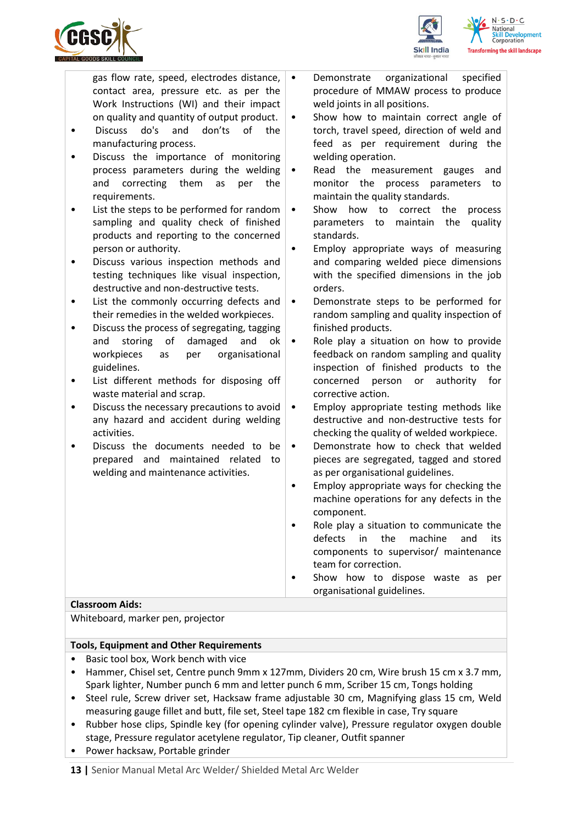

 $S \cdot D \cdot C$ ing the skill landscape

| gas flow rate, speed, electrodes distance, $\cdot$ |    |
|----------------------------------------------------|----|
| contact area, pressure etc. as per the             |    |
| Work Instructions (WI) and their impact            |    |
| on quality and quantity of output product.         | ∣∙ |

- Discuss do's and don'ts of the manufacturing process.
- Discuss the importance of monitoring process parameters during the welding and correcting them as per the requirements.
- List the steps to be performed for random sampling and quality check of finished products and reporting to the concerned person or authority.
- Discuss various inspection methods and testing techniques like visual inspection, destructive and non-destructive tests.
- List the commonly occurring defects and their remedies in the welded workpieces.
- Discuss the process of segregating, tagging and storing of damaged and ok workpieces as per organisational guidelines.
- List different methods for disposing off waste material and scrap.
- Discuss the necessary precautions to avoid any hazard and accident during welding activities.
- Discuss the documents needed to be prepared and maintained related to welding and maintenance activities.
- Demonstrate organizational specified procedure of MMAW process to produce weld joints in all positions.
- Show how to maintain correct angle of torch, travel speed, direction of weld and feed as per requirement during the welding operation.
- Read the measurement gauges and monitor the process parameters to maintain the quality standards.
- Show how to correct the process parameters to maintain the quality standards.
- Employ appropriate ways of measuring and comparing welded piece dimensions with the specified dimensions in the job orders.
- Demonstrate steps to be performed for random sampling and quality inspection of finished products.
- Role play a situation on how to provide feedback on random sampling and quality inspection of finished products to the concerned person or authority for corrective action.
- Employ appropriate testing methods like destructive and non-destructive tests for checking the quality of welded workpiece.
- Demonstrate how to check that welded pieces are segregated, tagged and stored as per organisational guidelines.
- Employ appropriate ways for checking the machine operations for any defects in the component.
- Role play a situation to communicate the defects in the machine and its components to supervisor/ maintenance team for correction.
- Show how to dispose waste as per organisational guidelines.

### **Classroom Aids:**

Whiteboard, marker pen, projector

#### **Tools, Equipment and Other Requirements**

- Basic tool box, Work bench with vice
- Hammer, Chisel set, Centre punch 9mm x 127mm, Dividers 20 cm, Wire brush 15 cm x 3.7 mm, Spark lighter, Number punch 6 mm and letter punch 6 mm, Scriber 15 cm, Tongs holding
- Steel rule, Screw driver set, Hacksaw frame adjustable 30 cm, Magnifying glass 15 cm, Weld measuring gauge fillet and butt, file set, Steel tape 182 cm flexible in case, Try square
- Rubber hose clips, Spindle key (for opening cylinder valve), Pressure regulator oxygen double stage, Pressure regulator acetylene regulator, Tip cleaner, Outfit spanner
- Power hacksaw, Portable grinder

**13 |** Senior Manual Metal Arc Welder/ Shielded Metal Arc Welder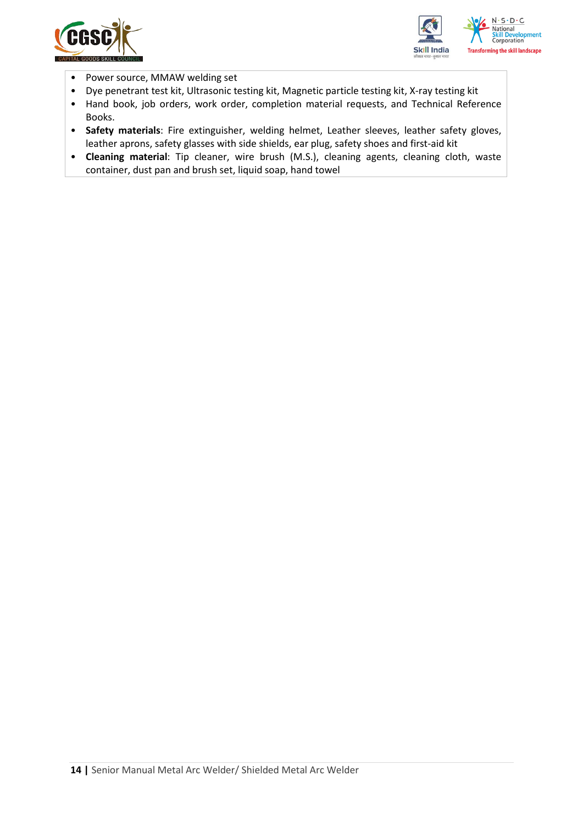



- Power source, MMAW welding set
- Dye penetrant test kit, Ultrasonic testing kit, Magnetic particle testing kit, X-ray testing kit
- Hand book, job orders, work order, completion material requests, and Technical Reference Books.
- **Safety materials**: Fire extinguisher, welding helmet, Leather sleeves, leather safety gloves, leather aprons, safety glasses with side shields, ear plug, safety shoes and first-aid kit
- **Cleaning material**: Tip cleaner, wire brush (M.S.), cleaning agents, cleaning cloth, waste container, dust pan and brush set, liquid soap, hand towel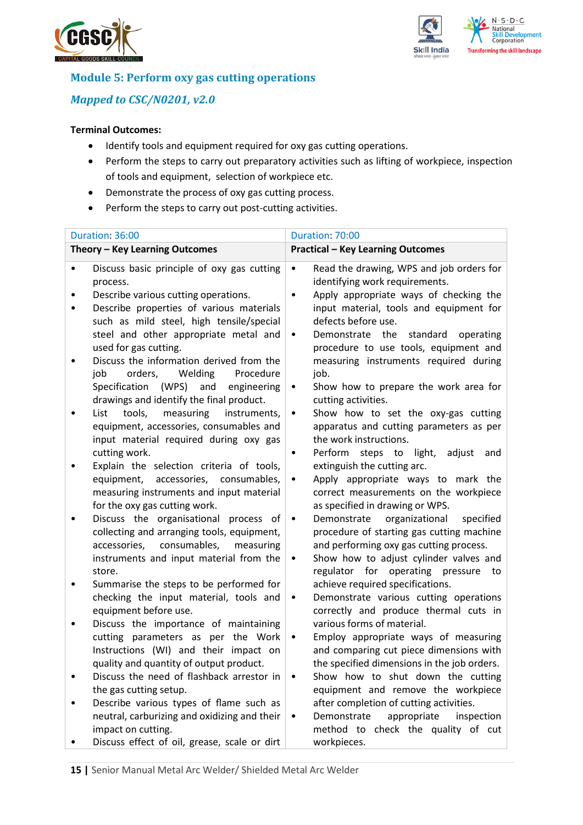



## **Module 5: Perform oxy gas cutting operations**

## *Mapped to CSC/N0201, v2.0*

- Identify tools and equipment required for oxy gas cutting operations.
- Perform the steps to carry out preparatory activities such as lifting of workpiece, inspection of tools and equipment, selection of workpiece etc.
- Demonstrate the process of oxy gas cutting process.
- Perform the steps to carry out post-cutting activities.

|   | Duration: 36:00                                                                                                                                                                                                                 | Duration: 70:00                                                                                                                                                                                                                                                      |     |
|---|---------------------------------------------------------------------------------------------------------------------------------------------------------------------------------------------------------------------------------|----------------------------------------------------------------------------------------------------------------------------------------------------------------------------------------------------------------------------------------------------------------------|-----|
|   | Theory - Key Learning Outcomes                                                                                                                                                                                                  | <b>Practical - Key Learning Outcomes</b>                                                                                                                                                                                                                             |     |
| ٠ | Discuss basic principle of oxy gas cutting<br>process.<br>Describe various cutting operations.<br>Describe properties of various materials<br>such as mild steel, high tensile/special<br>steel and other appropriate metal and | Read the drawing, WPS and job orders for<br>$\bullet$<br>identifying work requirements.<br>Apply appropriate ways of checking the<br>$\bullet$<br>input material, tools and equipment for<br>defects before use.<br>Demonstrate<br>the<br>standard<br>operating<br>٠ |     |
| ٠ | used for gas cutting.<br>Discuss the information derived from the<br>orders,<br>Welding<br>Procedure<br>job<br>Specification (WPS)<br>and<br>engineering<br>drawings and identify the final product.                            | procedure to use tools, equipment and<br>measuring instruments required during<br>job.<br>Show how to prepare the work area for<br>$\bullet$<br>cutting activities.                                                                                                  |     |
| ٠ | tools,<br>measuring<br>List<br>instruments,<br>equipment, accessories, consumables and<br>input material required during oxy gas<br>cutting work.                                                                               | Show how to set the oxy-gas cutting<br>$\bullet$<br>apparatus and cutting parameters as per<br>the work instructions.<br>Perform<br>steps to light,<br>adjust<br>٠                                                                                                   | and |
|   | Explain the selection criteria of tools,<br>equipment, accessories, consumables,<br>measuring instruments and input material<br>for the oxy gas cutting work.                                                                   | extinguish the cutting arc.<br>Apply appropriate ways to mark the<br>$\bullet$<br>correct measurements on the workpiece<br>as specified in drawing or WPS.                                                                                                           |     |
| ٠ | Discuss the organisational process of<br>collecting and arranging tools, equipment,<br>consumables,<br>accessories,<br>measuring<br>instruments and input material from the<br>store.                                           | Demonstrate<br>organizational<br>specified<br>$\bullet$<br>procedure of starting gas cutting machine<br>and performing oxy gas cutting process.<br>Show how to adjust cylinder valves and<br>$\bullet$<br>regulator for operating pressure to                        |     |
|   | Summarise the steps to be performed for<br>checking the input material, tools and<br>equipment before use.                                                                                                                      | achieve required specifications.<br>Demonstrate various cutting operations<br>$\bullet$<br>correctly and produce thermal cuts in                                                                                                                                     |     |
| ٠ | Discuss the importance of maintaining<br>cutting parameters as per the Work<br>Instructions (WI) and their impact on<br>quality and quantity of output product.                                                                 | various forms of material.<br>Employ appropriate ways of measuring<br>٠<br>and comparing cut piece dimensions with<br>the specified dimensions in the job orders.                                                                                                    |     |
|   | Discuss the need of flashback arrestor in<br>the gas cutting setup.                                                                                                                                                             | Show how to shut down the cutting<br>٠<br>equipment and remove the workpiece                                                                                                                                                                                         |     |
|   | Describe various types of flame such as<br>neutral, carburizing and oxidizing and their<br>impact on cutting.<br>Discuss effect of oil, grease, scale or dirt                                                                   | after completion of cutting activities.<br>Demonstrate<br>appropriate<br>inspection<br>method to check the quality of cut<br>workpieces.                                                                                                                             |     |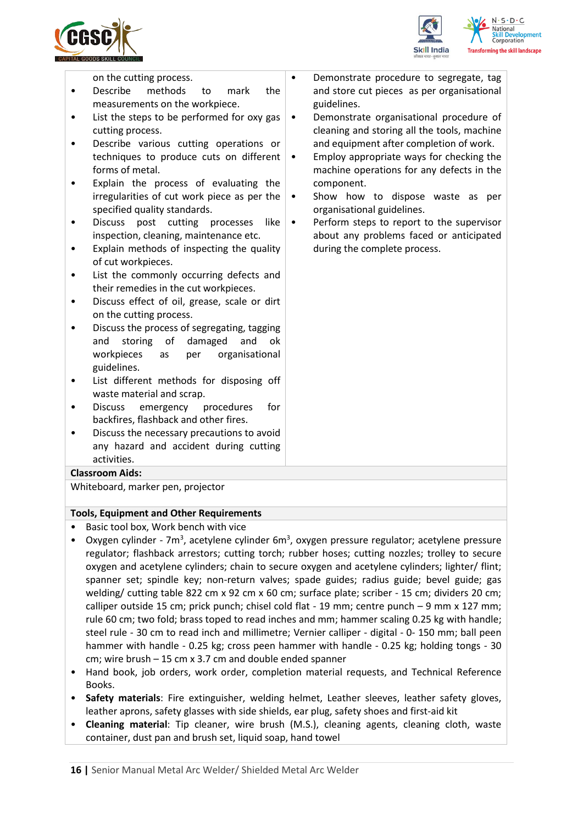



on the cutting process.

- Describe methods to mark the measurements on the workpiece.
- List the steps to be performed for oxy gas cutting process.
- Describe various cutting operations or techniques to produce cuts on different forms of metal.
- Explain the process of evaluating the irregularities of cut work piece as per the specified quality standards.
- Discuss post cutting processes like inspection, cleaning, maintenance etc.
- Explain methods of inspecting the quality of cut workpieces.
- List the commonly occurring defects and their remedies in the cut workpieces.
- Discuss effect of oil, grease, scale or dirt on the cutting process.
- Discuss the process of segregating, tagging and storing of damaged and ok workpieces as per organisational guidelines.
- List different methods for disposing off waste material and scrap.
- Discuss emergency procedures for backfires, flashback and other fires.
- Discuss the necessary precautions to avoid any hazard and accident during cutting activities.

#### **Classroom Aids:**

Whiteboard, marker pen, projector

#### **Tools, Equipment and Other Requirements**

- Basic tool box, Work bench with vice
- Oxygen cylinder 7m<sup>3</sup>, acetylene cylinder 6m<sup>3</sup>, oxygen pressure regulator; acetylene pressure regulator; flashback arrestors; cutting torch; rubber hoses; cutting nozzles; trolley to secure oxygen and acetylene cylinders; chain to secure oxygen and acetylene cylinders; lighter/ flint; spanner set; spindle key; non-return valves; spade guides; radius guide; bevel guide; gas welding/ cutting table 822 cm x 92 cm x 60 cm; surface plate; scriber - 15 cm; dividers 20 cm; calliper outside 15 cm; prick punch; chisel cold flat - 19 mm; centre punch – 9 mm x 127 mm; rule 60 cm; two fold; brass toped to read inches and mm; hammer scaling 0.25 kg with handle; steel rule - 30 cm to read inch and millimetre; Vernier calliper - digital - 0- 150 mm; ball peen hammer with handle - 0.25 kg; cross peen hammer with handle - 0.25 kg; holding tongs - 30 cm; wire brush – 15 cm x 3.7 cm and double ended spanner
- Hand book, job orders, work order, completion material requests, and Technical Reference Books.
- **Safety materials**: Fire extinguisher, welding helmet, Leather sleeves, leather safety gloves, leather aprons, safety glasses with side shields, ear plug, safety shoes and first-aid kit
- **Cleaning material**: Tip cleaner, wire brush (M.S.), cleaning agents, cleaning cloth, waste container, dust pan and brush set, liquid soap, hand towel
- Demonstrate procedure to segregate, tag and store cut pieces as per organisational guidelines.
	- Demonstrate organisational procedure of cleaning and storing all the tools, machine and equipment after completion of work.
- Employ appropriate ways for checking the machine operations for any defects in the component.
- Show how to dispose waste as per organisational guidelines.
- Perform steps to report to the supervisor about any problems faced or anticipated during the complete process.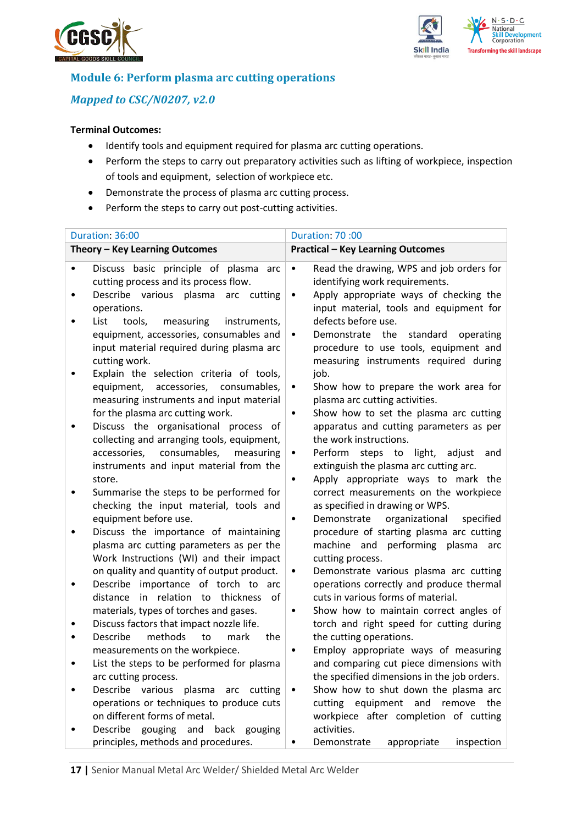



## **Module 6: Perform plasma arc cutting operations**

## *Mapped to CSC/N0207, v2.0*

- Identify tools and equipment required for plasma arc cutting operations.
- Perform the steps to carry out preparatory activities such as lifting of workpiece, inspection of tools and equipment, selection of workpiece etc.
- Demonstrate the process of plasma arc cutting process.
- Perform the steps to carry out post-cutting activities.

| Duration: 36:00                                                                                                                                                                       | Duration: 70:00                                                                                                                                                                                                 |
|---------------------------------------------------------------------------------------------------------------------------------------------------------------------------------------|-----------------------------------------------------------------------------------------------------------------------------------------------------------------------------------------------------------------|
| Theory - Key Learning Outcomes                                                                                                                                                        | <b>Practical - Key Learning Outcomes</b>                                                                                                                                                                        |
| Discuss basic principle of plasma arc<br>cutting process and its process flow.<br>Describe various plasma arc cutting                                                                 | Read the drawing, WPS and job orders for<br>$\bullet$<br>identifying work requirements.<br>Apply appropriate ways of checking the<br>$\bullet$                                                                  |
| operations.<br>List<br>tools,<br>measuring<br>instruments,<br>equipment, accessories, consumables and<br>input material required during plasma arc<br>cutting work.                   | input material, tools and equipment for<br>defects before use.<br>Demonstrate the<br>standard<br>operating<br>٠<br>procedure to use tools, equipment and<br>measuring instruments required during               |
| Explain the selection criteria of tools,<br>accessories, consumables,<br>equipment,<br>measuring instruments and input material<br>for the plasma arc cutting work.                   | job.<br>Show how to prepare the work area for<br>٠<br>plasma arc cutting activities.<br>Show how to set the plasma arc cutting<br>٠                                                                             |
| Discuss the organisational process of<br>collecting and arranging tools, equipment,<br>consumables,<br>accessories,<br>measuring<br>instruments and input material from the<br>store. | apparatus and cutting parameters as per<br>the work instructions.<br>Perform steps to light,<br>adjust<br>and<br>$\bullet$<br>extinguish the plasma arc cutting arc.<br>Apply appropriate ways to mark the<br>٠ |
| Summarise the steps to be performed for<br>checking the input material, tools and<br>equipment before use.                                                                            | correct measurements on the workpiece<br>as specified in drawing or WPS.<br>organizational<br>specified<br>Demonstrate<br>٠                                                                                     |
| Discuss the importance of maintaining<br>plasma arc cutting parameters as per the<br>Work Instructions (WI) and their impact                                                          | procedure of starting plasma arc cutting<br>machine and performing<br>plasma<br>arc<br>cutting process.                                                                                                         |
| on quality and quantity of output product.<br>Describe importance of torch to arc<br>in relation to thickness<br>distance<br>of<br>materials, types of torches and gases.             | Demonstrate various plasma arc cutting<br>٠<br>operations correctly and produce thermal<br>cuts in various forms of material.<br>Show how to maintain correct angles of<br>$\bullet$                            |
| Discuss factors that impact nozzle life.<br>Describe<br>methods<br>to<br>mark<br>the                                                                                                  | torch and right speed for cutting during<br>the cutting operations.                                                                                                                                             |
| measurements on the workpiece.<br>List the steps to be performed for plasma<br>arc cutting process.                                                                                   | Employ appropriate ways of measuring<br>and comparing cut piece dimensions with<br>the specified dimensions in the job orders.                                                                                  |
| Describe various plasma arc cutting<br>operations or techniques to produce cuts<br>on different forms of metal.                                                                       | Show how to shut down the plasma arc<br>cutting equipment and<br>remove<br>the<br>workpiece after completion of cutting                                                                                         |
| Describe gouging and<br>back gouging<br>principles, methods and procedures.                                                                                                           | activities.<br>Demonstrate<br>appropriate<br>inspection<br>٠                                                                                                                                                    |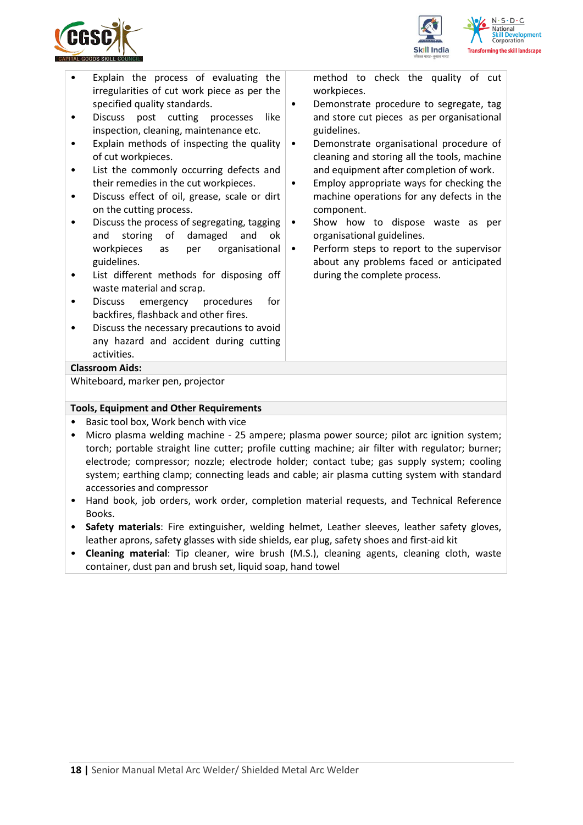



- Explain the process of evaluating the irregularities of cut work piece as per the specified quality standards.
- Discuss post cutting processes like inspection, cleaning, maintenance etc.
- Explain methods of inspecting the quality of cut workpieces.
- List the commonly occurring defects and their remedies in the cut workpieces.
- Discuss effect of oil, grease, scale or dirt on the cutting process.
- Discuss the process of segregating, tagging and storing of damaged and ok workpieces as per organisational guidelines.
- List different methods for disposing off waste material and scrap.
- Discuss emergency procedures for backfires, flashback and other fires.
- Discuss the necessary precautions to avoid any hazard and accident during cutting activities.

method to check the quality of cut workpieces.

- Demonstrate procedure to segregate, tag and store cut pieces as per organisational guidelines.
- Demonstrate organisational procedure of cleaning and storing all the tools, machine and equipment after completion of work.
- Employ appropriate ways for checking the machine operations for any defects in the component.
- Show how to dispose waste as per organisational guidelines.
- Perform steps to report to the supervisor about any problems faced or anticipated during the complete process.

#### **Classroom Aids:**

Whiteboard, marker pen, projector

#### **Tools, Equipment and Other Requirements**

- Basic tool box, Work bench with vice
- Micro plasma welding machine 25 ampere; plasma power source; pilot arc ignition system; torch; portable straight line cutter; profile cutting machine; air filter with regulator; burner; electrode; compressor; nozzle; electrode holder; contact tube; gas supply system; cooling system; earthing clamp; connecting leads and cable; air plasma cutting system with standard accessories and compressor
- Hand book, job orders, work order, completion material requests, and Technical Reference Books.
- **Safety materials**: Fire extinguisher, welding helmet, Leather sleeves, leather safety gloves, leather aprons, safety glasses with side shields, ear plug, safety shoes and first-aid kit
- **Cleaning material**: Tip cleaner, wire brush (M.S.), cleaning agents, cleaning cloth, waste container, dust pan and brush set, liquid soap, hand towel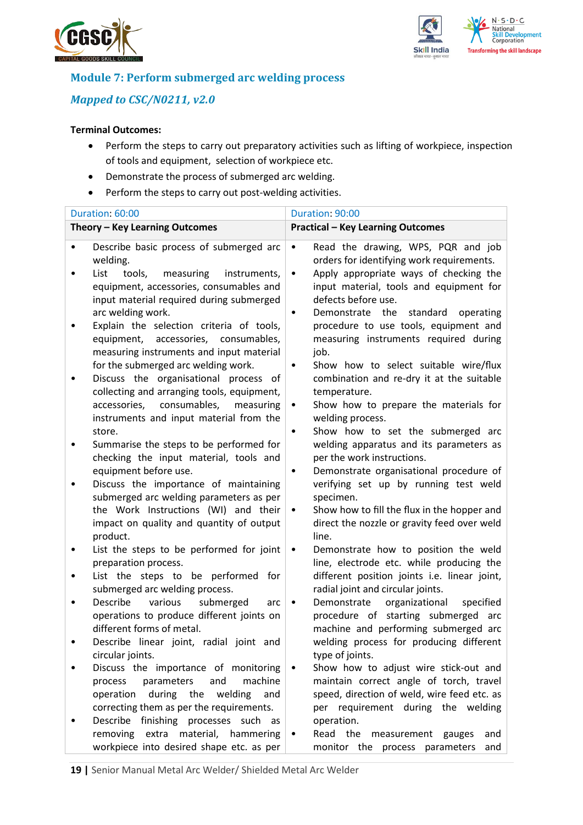



## **Module 7: Perform submerged arc welding process**

## *Mapped to CSC/N0211, v2.0*

- Perform the steps to carry out preparatory activities such as lifting of workpiece, inspection of tools and equipment, selection of workpiece etc.
- Demonstrate the process of submerged arc welding.
- Perform the steps to carry out post-welding activities.

| Duration: 60:00                                                                                                                                                                                                | Duration: 90:00                                                                                                                                                                                                                                                     |  |  |
|----------------------------------------------------------------------------------------------------------------------------------------------------------------------------------------------------------------|---------------------------------------------------------------------------------------------------------------------------------------------------------------------------------------------------------------------------------------------------------------------|--|--|
| Theory - Key Learning Outcomes                                                                                                                                                                                 | <b>Practical - Key Learning Outcomes</b>                                                                                                                                                                                                                            |  |  |
| Describe basic process of submerged arc<br>welding.<br>List<br>measuring<br>tools,<br>instruments,<br>equipment, accessories, consumables and<br>input material required during submerged<br>arc welding work. | Read the drawing, WPS, PQR and job<br>$\bullet$<br>orders for identifying work requirements.<br>Apply appropriate ways of checking the<br>$\bullet$<br>input material, tools and equipment for<br>defects before use.<br>Demonstrate the standard<br>operating<br>٠ |  |  |
| Explain the selection criteria of tools,<br>equipment, accessories, consumables,<br>measuring instruments and input material<br>for the submerged arc welding work.<br>Discuss the organisational process of   | procedure to use tools, equipment and<br>measuring instruments required during<br>job.<br>Show how to select suitable wire/flux<br>$\bullet$<br>combination and re-dry it at the suitable                                                                           |  |  |
| collecting and arranging tools, equipment,<br>consumables,<br>accessories,<br>measuring<br>instruments and input material from the<br>store.                                                                   | temperature.<br>Show how to prepare the materials for<br>$\bullet$<br>welding process.<br>Show how to set the submerged arc<br>$\bullet$                                                                                                                            |  |  |
| Summarise the steps to be performed for<br>checking the input material, tools and<br>equipment before use.                                                                                                     | welding apparatus and its parameters as<br>per the work instructions.<br>Demonstrate organisational procedure of<br>$\bullet$                                                                                                                                       |  |  |
| Discuss the importance of maintaining<br>submerged arc welding parameters as per<br>the Work Instructions (WI) and their<br>impact on quality and quantity of output<br>product.                               | verifying set up by running test weld<br>specimen.<br>Show how to fill the flux in the hopper and<br>٠<br>direct the nozzle or gravity feed over weld<br>line.                                                                                                      |  |  |
| List the steps to be performed for joint<br>preparation process.                                                                                                                                               | Demonstrate how to position the weld<br>$\bullet$<br>line, electrode etc. while producing the                                                                                                                                                                       |  |  |
| List the steps to be performed for<br>submerged arc welding process.                                                                                                                                           | different position joints i.e. linear joint,<br>radial joint and circular joints.                                                                                                                                                                                   |  |  |
| Describe<br>various<br>submerged<br>arc<br>operations to produce different joints on<br>different forms of metal.                                                                                              | organizational<br>Demonstrate<br>specified<br>$\bullet$<br>procedure of starting submerged<br>arc<br>machine and performing submerged arc                                                                                                                           |  |  |
| Describe linear joint, radial joint and<br>circular joints.                                                                                                                                                    | welding process for producing different<br>type of joints.                                                                                                                                                                                                          |  |  |
| Discuss the importance of monitoring<br>parameters<br>machine<br>and<br>process<br>during the<br>operation<br>welding<br>and<br>correcting them as per the requirements.                                       | Show how to adjust wire stick-out and<br>maintain correct angle of torch, travel<br>speed, direction of weld, wire feed etc. as<br>per requirement during the welding                                                                                               |  |  |
| finishing processes such as<br>Describe<br>removing extra material, hammering<br>workpiece into desired shape etc. as per                                                                                      | operation.<br>Read the<br>measurement<br>gauges<br>and<br>$\bullet$<br>monitor the process parameters<br>and                                                                                                                                                        |  |  |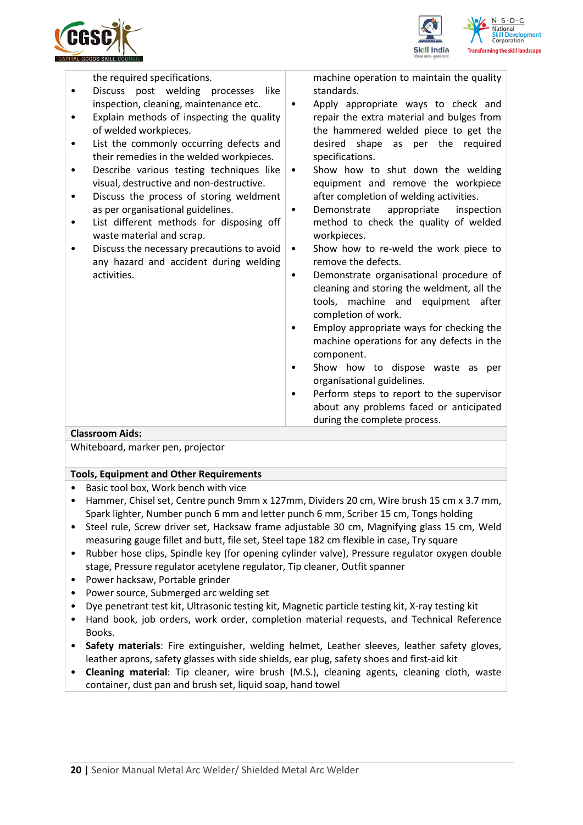



the required specifications.

- Discuss post welding processes like inspection, cleaning, maintenance etc.
- Explain methods of inspecting the quality of welded workpieces.
- List the commonly occurring defects and their remedies in the welded workpieces.
- Describe various testing techniques like visual, destructive and non-destructive.
- Discuss the process of storing weldment as per organisational guidelines.
- List different methods for disposing off waste material and scrap.
- Discuss the necessary precautions to avoid any hazard and accident during welding activities.

machine operation to maintain the quality standards.

- Apply appropriate ways to check and repair the extra material and bulges from the hammered welded piece to get the desired shape as per the required specifications.
- Show how to shut down the welding equipment and remove the workpiece after completion of welding activities.
- Demonstrate appropriate inspection method to check the quality of welded workpieces.
- Show how to re-weld the work piece to remove the defects.
- Demonstrate organisational procedure of cleaning and storing the weldment, all the tools, machine and equipment after completion of work.
- Employ appropriate ways for checking the machine operations for any defects in the component.
- Show how to dispose waste as per organisational guidelines.
- Perform steps to report to the supervisor about any problems faced or anticipated during the complete process.

#### **Classroom Aids:**

Whiteboard, marker pen, projector

#### **Tools, Equipment and Other Requirements**

- Basic tool box, Work bench with vice
- Hammer, Chisel set, Centre punch 9mm x 127mm, Dividers 20 cm, Wire brush 15 cm x 3.7 mm, Spark lighter, Number punch 6 mm and letter punch 6 mm, Scriber 15 cm, Tongs holding
- Steel rule, Screw driver set, Hacksaw frame adjustable 30 cm, Magnifying glass 15 cm, Weld measuring gauge fillet and butt, file set, Steel tape 182 cm flexible in case, Try square
- Rubber hose clips, Spindle key (for opening cylinder valve), Pressure regulator oxygen double stage, Pressure regulator acetylene regulator, Tip cleaner, Outfit spanner
- Power hacksaw, Portable grinder
- Power source, Submerged arc welding set
- Dye penetrant test kit, Ultrasonic testing kit, Magnetic particle testing kit, X-ray testing kit
- Hand book, job orders, work order, completion material requests, and Technical Reference Books.
- **Safety materials**: Fire extinguisher, welding helmet, Leather sleeves, leather safety gloves, leather aprons, safety glasses with side shields, ear plug, safety shoes and first-aid kit
- **Cleaning material**: Tip cleaner, wire brush (M.S.), cleaning agents, cleaning cloth, waste container, dust pan and brush set, liquid soap, hand towel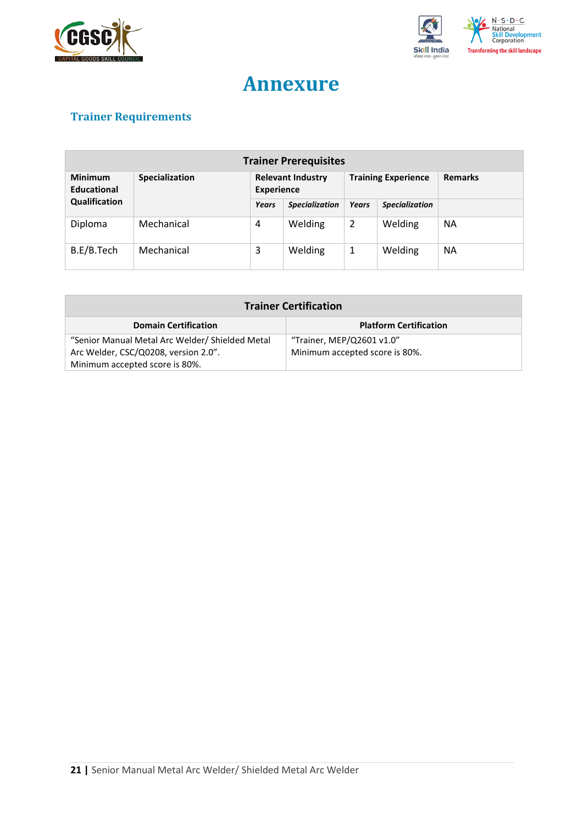



## **Annexure**

## <span id="page-20-0"></span>**Trainer Requirements**

| <b>Trainer Prerequisites</b>  |                       |                                               |                       |                            |                       |                |
|-------------------------------|-----------------------|-----------------------------------------------|-----------------------|----------------------------|-----------------------|----------------|
| <b>Minimum</b><br>Educational | <b>Specialization</b> | <b>Relevant Industry</b><br><b>Experience</b> |                       | <b>Training Experience</b> |                       | <b>Remarks</b> |
| Qualification                 |                       | Years                                         | <b>Specialization</b> | <b>Years</b>               | <b>Specialization</b> |                |
| Diploma                       | Mechanical            | 4                                             | Welding               | $\overline{2}$             | Welding               | <b>NA</b>      |
| B.E/B.Tech                    | Mechanical            | 3                                             | Welding               | 1                          | Welding               | <b>NA</b>      |

| <b>Trainer Certification</b>                    |                                |  |  |
|-------------------------------------------------|--------------------------------|--|--|
| <b>Domain Certification</b>                     | <b>Platform Certification</b>  |  |  |
| "Senior Manual Metal Arc Welder/ Shielded Metal | "Trainer, MEP/Q2601 v1.0"      |  |  |
| Arc Welder, CSC/Q0208, version 2.0".            | Minimum accepted score is 80%. |  |  |
| Minimum accepted score is 80%.                  |                                |  |  |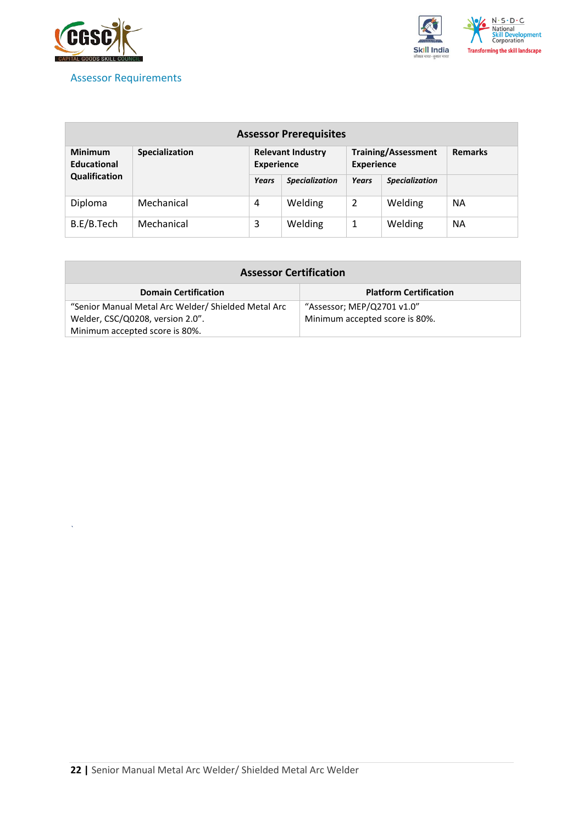

*`*

### <span id="page-21-0"></span>Assessor Requirements



| <b>Assessor Prerequisites</b>        |                |                                               |                       |                                                 |                       |                |
|--------------------------------------|----------------|-----------------------------------------------|-----------------------|-------------------------------------------------|-----------------------|----------------|
| <b>Minimum</b><br><b>Educational</b> | Specialization | <b>Relevant Industry</b><br><b>Experience</b> |                       | <b>Training/Assessment</b><br><b>Experience</b> |                       | <b>Remarks</b> |
| Qualification                        |                | <b>Years</b>                                  | <b>Specialization</b> | Years                                           | <b>Specialization</b> |                |
| Diploma                              | Mechanical     | 4                                             | Welding               | 2                                               | Welding               | <b>NA</b>      |
| B.E/B.Tech                           | Mechanical     | 3                                             | Welding               | 1                                               | Welding               | <b>NA</b>      |

| <b>Assessor Certification</b>                       |                                |  |  |  |
|-----------------------------------------------------|--------------------------------|--|--|--|
| <b>Domain Certification</b>                         | <b>Platform Certification</b>  |  |  |  |
| "Senior Manual Metal Arc Welder/ Shielded Metal Arc | "Assessor; MEP/Q2701 v1.0"     |  |  |  |
| Welder, CSC/Q0208, version 2.0".                    | Minimum accepted score is 80%. |  |  |  |
| Minimum accepted score is 80%.                      |                                |  |  |  |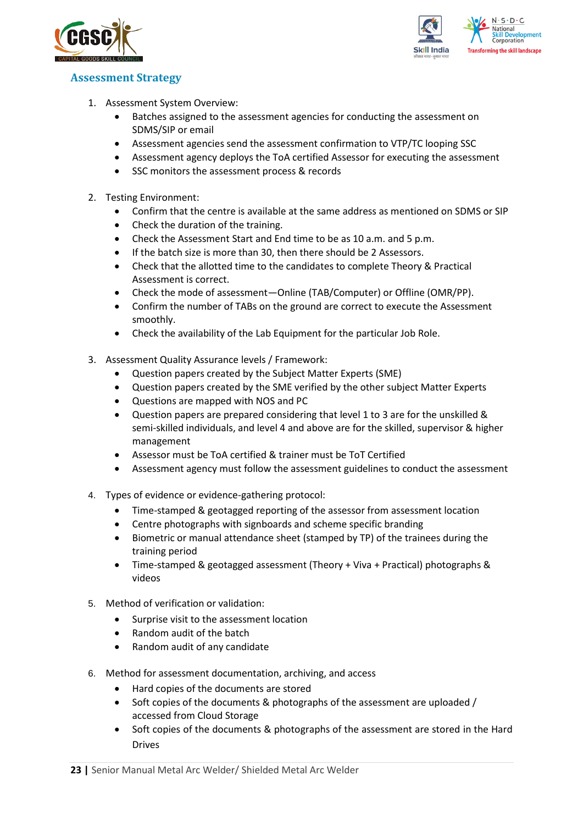



### <span id="page-22-0"></span>**Assessment Strategy**

- 1. Assessment System Overview:
	- Batches assigned to the assessment agencies for conducting the assessment on SDMS/SIP or email
	- Assessment agencies send the assessment confirmation to VTP/TC looping SSC
	- Assessment agency deploys the ToA certified Assessor for executing the assessment
	- SSC monitors the assessment process & records
- 2. Testing Environment:
	- Confirm that the centre is available at the same address as mentioned on SDMS or SIP
	- Check the duration of the training.
	- Check the Assessment Start and End time to be as 10 a.m. and 5 p.m.
	- If the batch size is more than 30, then there should be 2 Assessors.
	- Check that the allotted time to the candidates to complete Theory & Practical Assessment is correct.
	- Check the mode of assessment—Online (TAB/Computer) or Offline (OMR/PP).
	- Confirm the number of TABs on the ground are correct to execute the Assessment smoothly.
	- Check the availability of the Lab Equipment for the particular Job Role.
- 3. Assessment Quality Assurance levels / Framework:
	- Question papers created by the Subject Matter Experts (SME)
	- Question papers created by the SME verified by the other subject Matter Experts
	- Questions are mapped with NOS and PC
	- Question papers are prepared considering that level 1 to 3 are for the unskilled & semi-skilled individuals, and level 4 and above are for the skilled, supervisor & higher management
	- Assessor must be ToA certified & trainer must be ToT Certified
	- Assessment agency must follow the assessment guidelines to conduct the assessment
- 4. Types of evidence or evidence-gathering protocol:
	- Time-stamped & geotagged reporting of the assessor from assessment location
	- Centre photographs with signboards and scheme specific branding
	- Biometric or manual attendance sheet (stamped by TP) of the trainees during the training period
	- Time-stamped & geotagged assessment (Theory + Viva + Practical) photographs & videos
- 5. Method of verification or validation:
	- Surprise visit to the assessment location
	- Random audit of the batch
	- Random audit of any candidate
- 6. Method for assessment documentation, archiving, and access
	- Hard copies of the documents are stored
	- Soft copies of the documents & photographs of the assessment are uploaded / accessed from Cloud Storage
	- Soft copies of the documents & photographs of the assessment are stored in the Hard Drives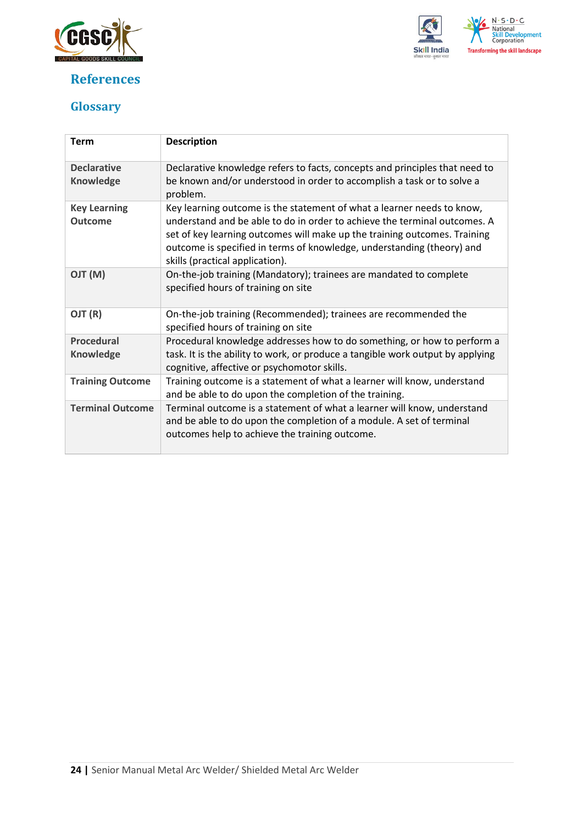

## <span id="page-23-0"></span>**References**



## <span id="page-23-1"></span>**Glossary**

| <b>Term</b>                            | <b>Description</b>                                                                                                                                                                                                                                                                                                                            |
|----------------------------------------|-----------------------------------------------------------------------------------------------------------------------------------------------------------------------------------------------------------------------------------------------------------------------------------------------------------------------------------------------|
| <b>Declarative</b><br><b>Knowledge</b> | Declarative knowledge refers to facts, concepts and principles that need to<br>be known and/or understood in order to accomplish a task or to solve a<br>problem.                                                                                                                                                                             |
| <b>Key Learning</b><br><b>Outcome</b>  | Key learning outcome is the statement of what a learner needs to know,<br>understand and be able to do in order to achieve the terminal outcomes. A<br>set of key learning outcomes will make up the training outcomes. Training<br>outcome is specified in terms of knowledge, understanding (theory) and<br>skills (practical application). |
| (M) TLO                                | On-the-job training (Mandatory); trainees are mandated to complete<br>specified hours of training on site                                                                                                                                                                                                                                     |
| OJT (R)                                | On-the-job training (Recommended); trainees are recommended the<br>specified hours of training on site                                                                                                                                                                                                                                        |
| <b>Procedural</b><br><b>Knowledge</b>  | Procedural knowledge addresses how to do something, or how to perform a<br>task. It is the ability to work, or produce a tangible work output by applying<br>cognitive, affective or psychomotor skills.                                                                                                                                      |
| <b>Training Outcome</b>                | Training outcome is a statement of what a learner will know, understand<br>and be able to do upon the completion of the training.                                                                                                                                                                                                             |
| <b>Terminal Outcome</b>                | Terminal outcome is a statement of what a learner will know, understand<br>and be able to do upon the completion of a module. A set of terminal<br>outcomes help to achieve the training outcome.                                                                                                                                             |